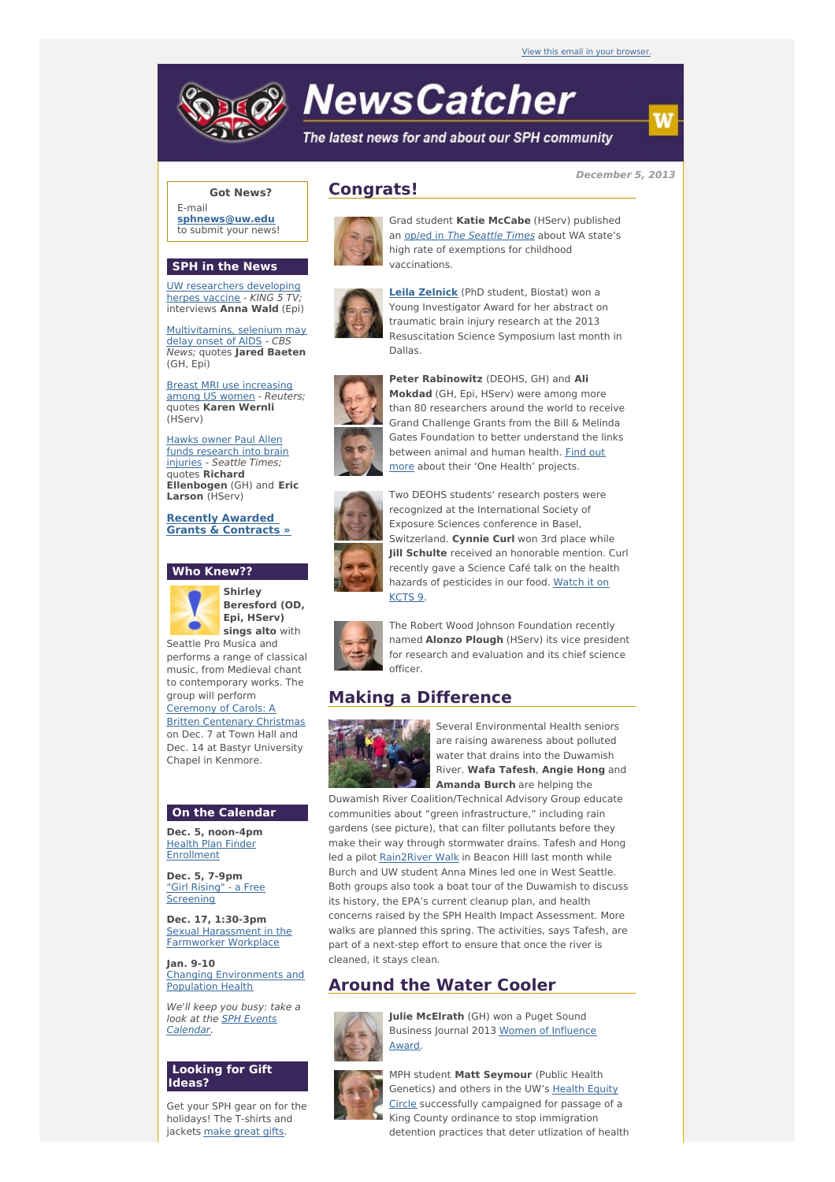

# **NewsCatcher**

The latest news for and about our SPH community

**December 5, 2013**

## **Got News?**

E-mail **[sphnews@uw.edu](mailto:sphnews@uw.edu)** to submit your news!

#### **SPH in the News**

UW [researchers](http://engage.washington.edu/site/R?i=pl7w3WPJPYCu0zo_N_ZwXw) developing herpes vaccine - KING 5 TV; interviews **Anna Wald** (Epi)

[Multivitamins,](http://engage.washington.edu/site/R?i=PyIkGMbe6Qb4TCOn1cWXSw) selenium may delay onset of AIDS - CBS News; quotes **Jared Baeten** (GH, Epi)

Breast MRI use [increasing](http://engage.washington.edu/site/R?i=EqowON0_IxlFljZclaEnrw) among US women - Reuters; quotes **Karen Wernli** (HServ)

Hawks owner Paul Allen funds [research](http://engage.washington.edu/site/R?i=9-u0nW7BZah4J7EqAgNE_g) into brain injuries - Seattle Times; quotes **Richard Ellenbogen** (GH) and **Eric Larson** (HServ)

**Recently Awarded Grants & [Contracts](http://engage.washington.edu/site/R?i=OsVmh9UZA_LmAzDejj6iiQ) »**

### **Who Knew??**



**Shirley Beresford (OD, Epi, HServ) sings alto** with Seattle Pro Musica and

performs a range of classical music, from Medieval chant to contemporary works. The group will perform Ceremony of Carols: A Britten [Centenary](http://engage.washington.edu/site/R?i=8WgeYdDXSJ2hkXYiaTS-DQ) Christmas on Dec. 7 at Town Hall and

Dec. 14 at Bastyr University Chapel in Kenmore.

## **On the Calendar**

**Dec. 5, noon-4pm** Health Plan Finder [Enrollment](http://engage.washington.edu/site/R?i=rLShIPgupI4RuemBhqESzw)

**Dec. 5, 7-9pm** "Girl Rising" - a Free **[Screening](http://engage.washington.edu/site/R?i=0x0fHAW3UKWDVlwrcVnXPg)** 

**Dec. 17, 1:30-3pm** Sexual [Harassment](http://engage.washington.edu/site/R?i=aL-E_X1FTJooNElq-Gah7g) in the Farmworker Workplace

**Jan. 9-10** Changing [Environments](http://engage.washington.edu/site/R?i=xUMu6DUGr03xmKcJmEpOBw) and Population Health

We'll keep you busy: take a look at the SPH Events [Calendar.](http://engage.washington.edu/site/R?i=TgWOrByyZL_dlP9wxB5Rxg)

## **Looking for Gift Ideas?**

Get your SPH gear on for the holidays! The T-shirts and jackets [make](http://engage.washington.edu/site/R?i=sLm2MBzU35C74ixVLKbLfw) great gifts.





Grad student **Katie McCabe** (HServ) published an op/ed in The [Seattle](http://engage.washington.edu/site/R?i=RgY5b8V5TsY-dip4N2xlSQ) Times about WA state's high rate of exemptions for childhood vaccinations.



**Leila [Zelnick](http://engage.washington.edu/site/R?i=gz3iqXbdwar06iXMZKs9og)** (PhD student, Biostat) won a Young Investigator Award for her abstract on traumatic brain injury research at the 2013 Resuscitation Science Symposium last month in Dallas.



**Peter Rabinowitz** (DEOHS, GH) and **Ali Mokdad** (GH, Epi, HServ) were among more than 80 researchers around the world to receive Grand Challenge Grants from the Bill & Melinda Gates Foundation to better understand the links [between](http://engage.washington.edu/site/R?i=RhhY2rED1r28_aMjN-OwuA) animal and human health. Find out more about their 'One Health' projects.



Two DEOHS students' research posters were recognized at the International Society of Exposure Sciences conference in Basel, Switzerland. **Cynnie Curl** won 3rd place while **Jill Schulte** received an honorable mention. Curl recently gave a Science Café talk on the health hazards of [pesticides](http://engage.washington.edu/site/R?i=uQc_Npz79maU5s_HdOlxmQ) in our food. Watch it on KCTS 9.



The Robert Wood Johnson Foundation recently named **Alonzo Plough** (HServ) its vice president for research and evaluation and its chief science officer.

## **Making a Difference**



Several Environmental Health seniors are raising awareness about polluted water that drains into the Duwamish River. **Wafa Tafesh**, **Angie Hong** and **Amanda Burch** are helping the

Duwamish River Coalition/Technical Advisory Group educate communities about "green infrastructure," including rain gardens (see picture), that can filter pollutants before they make their way through stormwater drains. Tafesh and Hong led a pilot [Rain2River](http://engage.washington.edu/site/R?i=c_ST9fcRHxts32R5T4R8cw) Walk in Beacon Hill last month while Burch and UW student Anna Mines led one in West Seattle. Both groups also took a boat tour of the Duwamish to discuss its history, the EPA's current cleanup plan, and health concerns raised by the SPH Health Impact Assessment. More walks are planned this spring. The activities, says Tafesh, are part of a next-step effort to ensure that once the river is cleaned, it stays clean.

## **Around the Water Cooler**



**Julie McElrath** (GH) won a Puget Sound Business Journal 2013 Women of [Influence](http://engage.washington.edu/site/R?i=XxILQ9bnsgBq5Utl7hZDhQ) Award.



MPH student **Matt Seymour** (Public Health Genetics) and others in the UW's Health Equity Circle successfully [campaigned](http://engage.washington.edu/site/R?i=3b0o9-D0mJDRVVRLfyLBLA) for passage of a King County ordinance to stop immigration detention practices that deter utlization of health